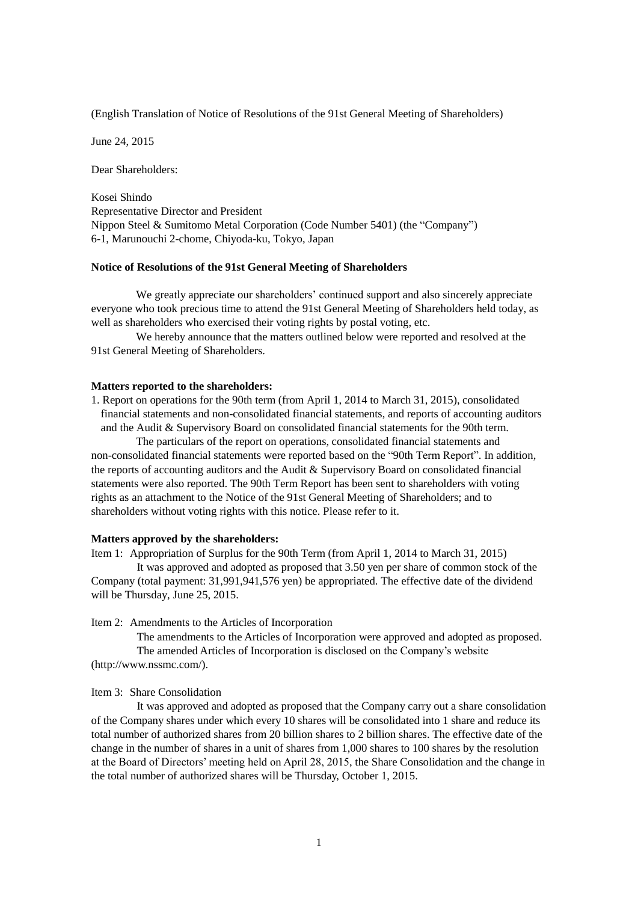(English Translation of Notice of Resolutions of the 91st General Meeting of Shareholders)

June 24, 2015

Dear Shareholders:

Kosei Shindo Representative Director and President Nippon Steel & Sumitomo Metal Corporation (Code Number 5401) (the "Company") 6-1, Marunouchi 2-chome, Chiyoda-ku, Tokyo, Japan

### **Notice of Resolutions of the 91st General Meeting of Shareholders**

We greatly appreciate our shareholders' continued support and also sincerely appreciate everyone who took precious time to attend the 91st General Meeting of Shareholders held today, as well as shareholders who exercised their voting rights by postal voting, etc.

We hereby announce that the matters outlined below were reported and resolved at the 91st General Meeting of Shareholders.

### **Matters reported to the shareholders:**

1. Report on operations for the 90th term (from April 1, 2014 to March 31, 2015), consolidated financial statements and non-consolidated financial statements, and reports of accounting auditors and the Audit & Supervisory Board on consolidated financial statements for the 90th term.

The particulars of the report on operations, consolidated financial statements and non-consolidated financial statements were reported based on the "90th Term Report". In addition, the reports of accounting auditors and the Audit  $\&$  Supervisory Board on consolidated financial statements were also reported. The 90th Term Report has been sent to shareholders with voting rights as an attachment to the Notice of the 91st General Meeting of Shareholders; and to shareholders without voting rights with this notice. Please refer to it.

### **Matters approved by the shareholders:**

Item 1: Appropriation of Surplus for the 90th Term (from April 1, 2014 to March 31, 2015)

It was approved and adopted as proposed that 3.50 yen per share of common stock of the Company (total payment: 31,991,941,576 yen) be appropriated. The effective date of the dividend will be Thursday, June 25, 2015.

Item 2: Amendments to the Articles of Incorporation

The amendments to the Articles of Incorporation were approved and adopted as proposed. The amended Articles of Incorporation is disclosed on the Company's website (http://www.nssmc.com/).

#### Item 3: Share Consolidation

It was approved and adopted as proposed that the Company carry out a share consolidation of the Company shares under which every 10 shares will be consolidated into 1 share and reduce its total number of authorized shares from 20 billion shares to 2 billion shares. The effective date of the change in the number of shares in a unit of shares from 1,000 shares to 100 shares by the resolution at the Board of Directors' meeting held on April 28, 2015, the Share Consolidation and the change in the total number of authorized shares will be Thursday, October 1, 2015.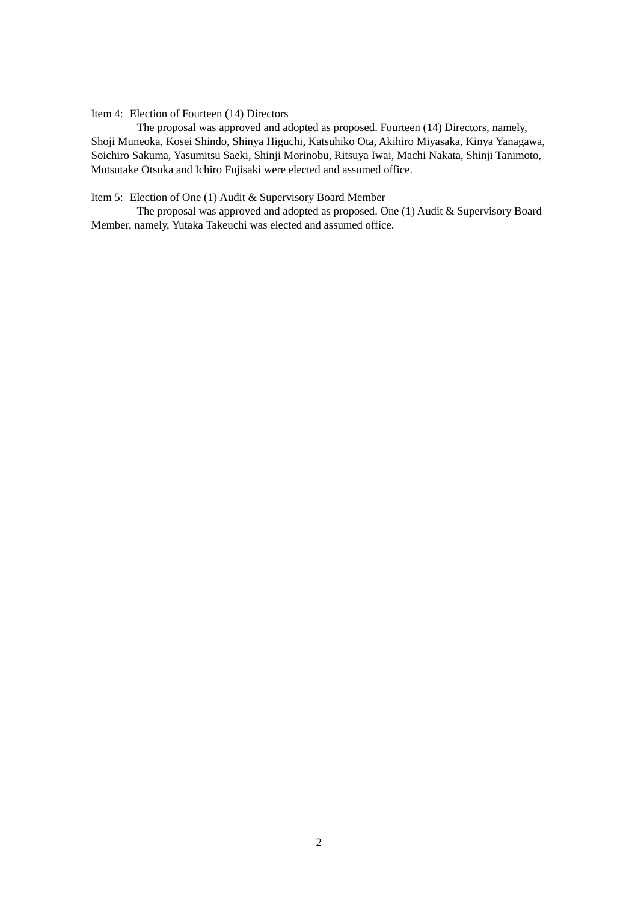## Item 4: Election of Fourteen (14) Directors

The proposal was approved and adopted as proposed. Fourteen (14) Directors, namely, Shoji Muneoka, Kosei Shindo, Shinya Higuchi, Katsuhiko Ota, Akihiro Miyasaka, Kinya Yanagawa, Soichiro Sakuma, Yasumitsu Saeki, Shinji Morinobu, Ritsuya Iwai, Machi Nakata, Shinji Tanimoto, Mutsutake Otsuka and Ichiro Fujisaki were elected and assumed office.

## Item 5: Election of One (1) Audit & Supervisory Board Member

The proposal was approved and adopted as proposed. One (1) Audit & Supervisory Board Member, namely, Yutaka Takeuchi was elected and assumed office.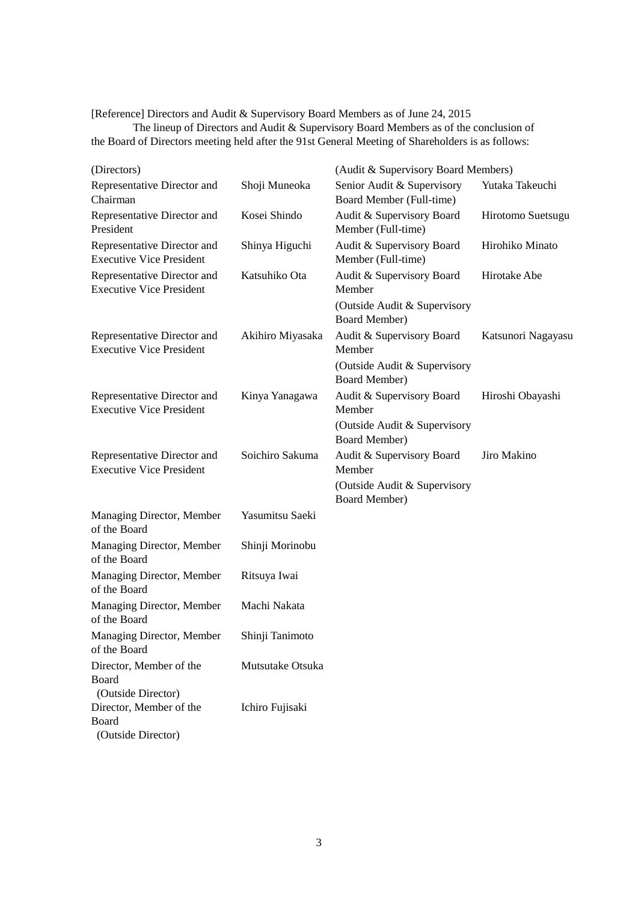[Reference] Directors and Audit & Supervisory Board Members as of June 24, 2015

The lineup of Directors and Audit & Supervisory Board Members as of the conclusion of the Board of Directors meeting held after the 91st General Meeting of Shareholders is as follows:

| (Directors)                                                                  |                  | (Audit & Supervisory Board Members)                    |                    |
|------------------------------------------------------------------------------|------------------|--------------------------------------------------------|--------------------|
| Representative Director and<br>Chairman                                      | Shoji Muneoka    | Senior Audit & Supervisory<br>Board Member (Full-time) | Yutaka Takeuchi    |
| Representative Director and<br>President                                     | Kosei Shindo     | Audit & Supervisory Board<br>Member (Full-time)        | Hirotomo Suetsugu  |
| Representative Director and<br><b>Executive Vice President</b>               | Shinya Higuchi   | Audit & Supervisory Board<br>Member (Full-time)        | Hirohiko Minato    |
| Representative Director and<br><b>Executive Vice President</b>               | Katsuhiko Ota    | Audit & Supervisory Board<br>Member                    | Hirotake Abe       |
|                                                                              |                  | (Outside Audit & Supervisory<br><b>Board Member)</b>   |                    |
| Representative Director and<br><b>Executive Vice President</b>               | Akihiro Miyasaka | Audit & Supervisory Board<br>Member                    | Katsunori Nagayasu |
|                                                                              |                  | (Outside Audit & Supervisory<br><b>Board Member)</b>   |                    |
| Representative Director and<br><b>Executive Vice President</b>               | Kinya Yanagawa   | Audit & Supervisory Board<br>Member                    | Hiroshi Obayashi   |
|                                                                              |                  | (Outside Audit & Supervisory<br><b>Board Member)</b>   |                    |
| Representative Director and<br><b>Executive Vice President</b>               | Soichiro Sakuma  | Audit & Supervisory Board<br>Member                    | Jiro Makino        |
|                                                                              |                  | (Outside Audit & Supervisory<br><b>Board Member)</b>   |                    |
| Managing Director, Member<br>of the Board                                    | Yasumitsu Saeki  |                                                        |                    |
| Managing Director, Member<br>of the Board                                    | Shinji Morinobu  |                                                        |                    |
| Managing Director, Member<br>of the Board                                    | Ritsuya Iwai     |                                                        |                    |
| Managing Director, Member<br>of the Board                                    | Machi Nakata     |                                                        |                    |
| Managing Director, Member<br>of the Board                                    | Shinji Tanimoto  |                                                        |                    |
| Director, Member of the<br>Board                                             | Mutsutake Otsuka |                                                        |                    |
| (Outside Director)<br>Director, Member of the<br>Board<br>(Outside Director) | Ichiro Fujisaki  |                                                        |                    |